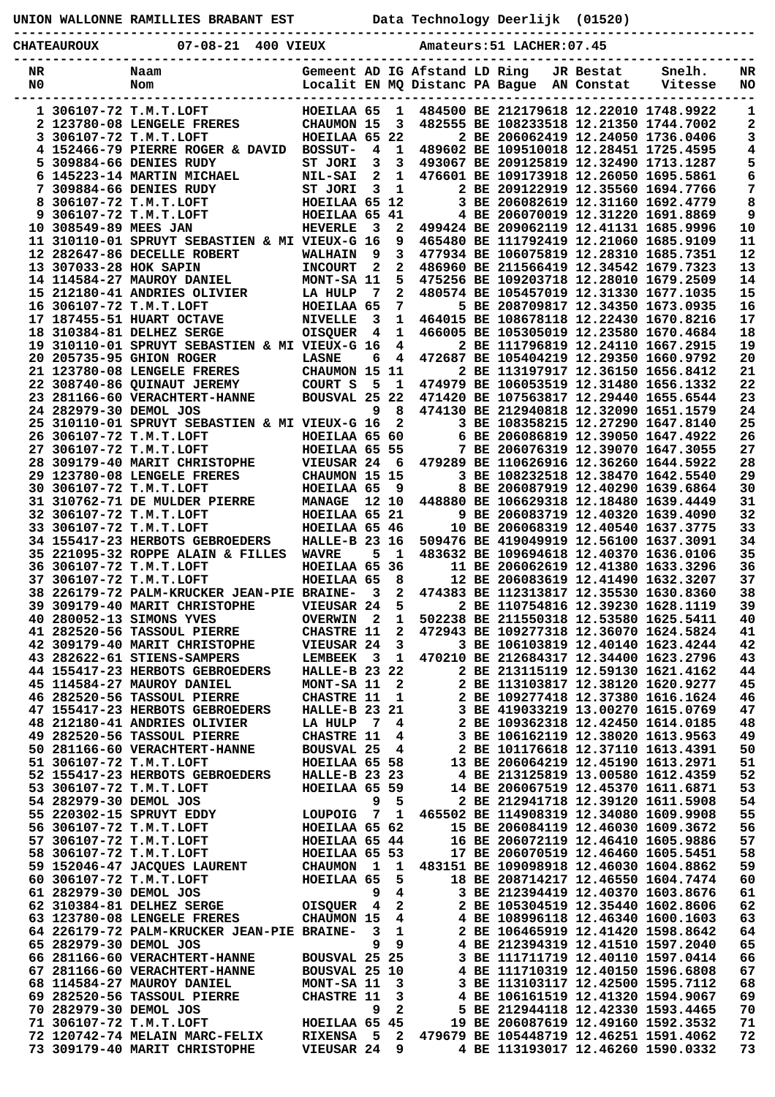|  |  | UNION WALLONNE RAMILLIES BRABANT EST |  |  |
|--|--|--------------------------------------|--|--|
|--|--|--------------------------------------|--|--|

Data Technology Deerlijk (01520)

|    | <b>CHATEAUROUX</b>     | ----------------<br>$07 - 08 - 21$<br>400 VIEUX                              |                                      |                         |                   |  | Amateurs: 51 LACHER: 07.45 |            |                                                                                  |          |
|----|------------------------|------------------------------------------------------------------------------|--------------------------------------|-------------------------|-------------------|--|----------------------------|------------|----------------------------------------------------------------------------------|----------|
| NR |                        | Naam                                                                         | Gemeent AD IG Afstand LD Ring        |                         |                   |  |                            | JR Bestat  | Snelh.                                                                           | NR       |
| N0 |                        | Nom                                                                          | Localit EN MQ Distanc PA Bague       |                         |                   |  |                            | AN Constat | Vitesse                                                                          | NO       |
|    |                        | 1 306107-72 T.M.T.LOFT                                                       | HOEILAA 65                           |                         | 1                 |  |                            |            | 484500 BE 212179618 12.22010 1748.9922                                           | 1        |
|    |                        | 2 123780-08 LENGELE FRERES                                                   | CHAUMON 15                           |                         | 3                 |  |                            |            | 482555 BE 108233518 12.21350 1744.7002                                           | 2        |
|    |                        | 3 306107-72 T.M.T.LOFT<br>4 152466-79 PIERRE ROGER & DAVID                   | HOEILAA 65 22<br><b>BOSSUT-</b>      | 4                       | 1                 |  |                            |            | 2 BE 206062419 12.24050 1736.0406<br>489602 BE 109510018 12.28451 1725.4595      | 3<br>4   |
|    |                        | 5 309884-66 DENIES RUDY                                                      | ST JORI                              | 3                       | 3                 |  |                            |            | 493067 BE 209125819 12.32490 1713.1287                                           | 5        |
|    |                        | 6 145223-14 MARTIN MICHAEL                                                   | <b>NIL-SAI</b>                       | $\mathbf{2}$            | 1                 |  |                            |            | 476601 BE 109173918 12.26050 1695.5861                                           | 6        |
| 8  |                        | 7 309884-66 DENIES RUDY<br>306107-72 T.M.T.LOFT                              | ST JORI<br>HOEILAA 65 12             | 3                       | 1                 |  |                            |            | 2 BE 209122919 12.35560 1694.7766<br>3 BE 206082619 12.31160 1692.4779           | 7<br>8   |
|    |                        | 9 306107-72 T.M.T.LOFT                                                       | HOEILAA 65 41                        |                         |                   |  |                            |            | 4 BE 206070019 12.31220 1691.8869                                                | 9        |
|    | 10 308549-89 MEES JAN  |                                                                              | <b>HEVERLE</b>                       | - 3                     | 2                 |  |                            |            | 499424 BE 209062119 12.41131 1685.9996                                           | 10       |
|    |                        | 11 310110-01 SPRUYT SEBASTIEN & MI VIEUX-G 16<br>12 282647-86 DECELLE ROBERT | <b>WALHAIN</b>                       | 9                       | 9<br>3            |  |                            |            | 465480 BE 111792419 12.21060 1685.9109<br>477934 BE 106075819 12.28310 1685.7351 | 11<br>12 |
|    | 13 307033-28 HOK SAPIN |                                                                              | <b>INCOURT</b>                       | 2                       | $\mathbf{2}$      |  |                            |            | 486960 BE 211566419 12.34542 1679.7323                                           | 13       |
|    |                        | 14 114584-27 MAUROY DANIEL                                                   | MONT-SA 11                           |                         | 5                 |  |                            |            | 475256 BE 109203718 12.28010 1679.2509                                           | 14       |
|    |                        | 15 212180-41 ANDRIES OLIVIER                                                 | LA HULP                              | -7                      | 2                 |  |                            |            | 480574 BE 105457019 12.31330 1677.1035                                           | 15<br>16 |
|    |                        | 16 306107-72 T.M.T.LOFT<br>17 187455-51 HUART OCTAVE                         | HOEILAA 65<br><b>NIVELLE</b>         | 3                       | 7<br>1            |  |                            |            | 5 BE 208709817 12.34350 1673.0935<br>464015 BE 108678118 12.22430 1670.8216      | 17       |
|    |                        | 18 310384-81 DELHEZ SERGE                                                    | OISQUER                              | 4                       | $\mathbf{1}$      |  |                            |            | 466005 BE 105305019 12.23580 1670.4684                                           | 18       |
|    |                        | 19 310110-01 SPRUYT SEBASTIEN & MI VIEUX-G 16                                |                                      |                         | 4                 |  |                            |            | 2 BE 111796819 12.24110 1667.2915                                                | 19       |
|    |                        | 20 205735-95 GHION ROGER<br>21 123780-08 LENGELE FRERES                      | <b>LASNE</b><br>CHAUMON 15 11        | 6                       | 4                 |  |                            |            | 472687 BE 105404219 12.29350 1660.9792<br>2 BE 113197917 12.36150 1656.8412      | 20<br>21 |
|    |                        | 22 308740-86 QUINAUT JEREMY                                                  | COURT S                              | 5                       | - 1               |  |                            |            | 474979 BE 106053519 12.31480 1656.1332                                           | 22       |
|    |                        | 23 281166-60 VERACHTERT-HANNE                                                | BOUSVAL 25 22                        |                         |                   |  |                            |            | 471420 BE 107563817 12.29440 1655.6544                                           | 23       |
|    | 24 282979-30 DEMOL JOS |                                                                              |                                      | 9                       | - 8               |  |                            |            | 474130 BE 212940818 12.32090 1651.1579                                           | 24       |
|    |                        | 25 310110-01 SPRUYT SEBASTIEN & MI VIEUX-G 16<br>26 306107-72 T.M.T.LOFT     | HOEILAA 65 60                        |                         | $\mathbf{2}$      |  |                            |            | 3 BE 108358215 12.27290 1647.8140<br>6 BE 206086819 12.39050 1647.4922           | 25<br>26 |
|    |                        | 27 306107-72 T.M.T.LOFT                                                      | HOEILAA 65 55                        |                         |                   |  |                            |            | 7 BE 206076319 12.39070 1647.3055                                                | 27       |
|    |                        | 28 309179-40 MARIT CHRISTOPHE                                                | VIEUSAR 24                           |                         | - 6               |  |                            |            | 479289 BE 110626916 12.36260 1644.5922                                           | 28       |
|    |                        | 29 123780-08 LENGELE FRERES                                                  | CHAUMON 15 15                        |                         |                   |  |                            |            | 3 BE 108232518 12.38470 1642.5540                                                | 29       |
|    |                        | 30 306107-72 T.M.T.LOFT<br>31 310762-71 DE MULDER PIERRE                     | HOEILAA 65<br><b>MANAGE</b>          |                         | - 9<br>12 10      |  |                            |            | 8 BE 206087919 12.40290 1639.6864<br>448880 BE 106629318 12.18480 1639.4449      | 30<br>31 |
|    |                        | 32 306107-72 T.M.T.LOFT                                                      | HOEILAA 65 21                        |                         |                   |  |                            |            | 9 BE 206083719 12.40320 1639.4090                                                | 32       |
|    |                        | 33 306107-72 T.M.T.LOFT                                                      | HOEILAA 65 46                        |                         |                   |  |                            |            | 10 BE 206068319 12.40540 1637.3775                                               | 33       |
|    |                        | 34 155417-23 HERBOTS GEBROEDERS<br>35 221095-32 ROPPE ALAIN & FILLES         | <b>HALLE-B 23 16</b><br><b>WAVRE</b> | 5                       | - 1               |  |                            |            | 509476 BE 419049919 12.56100 1637.3091<br>483632 BE 109694618 12.40370 1636.0106 | 34<br>35 |
|    |                        | 36 306107-72 T.M.T.LOFT                                                      | HOEILAA 65 36                        |                         |                   |  |                            |            | 11 BE 206062619 12.41380 1633.3296                                               | 36       |
|    |                        | 37 306107-72 T.M.T.LOFT                                                      | HOEILAA 65                           |                         | 8                 |  |                            |            | 12 BE 206083619 12.41490 1632.3207                                               | 37       |
|    |                        | 38 226179-72 PALM-KRUCKER JEAN-PIE BRAINE-                                   |                                      | 3                       | $\mathbf{2}$      |  |                            |            | 474383 BE 112313817 12.35530 1630.8360                                           | 38       |
|    |                        | <b>39 309179-40 MARIT CHRISTOPHE</b><br>40 280052-13 SIMONS YVES             | VIEUSAR 24<br>OVERWIN 2              |                         | 5<br>1            |  |                            |            | 2 BE 110754816 12.39230 1628.1119<br>502238 BE 211550318 12.53580 1625.5411      | 39<br>40 |
|    |                        | 41 282520-56 TASSOUL PIERRE                                                  | <b>CHASTRE 11</b>                    |                         | 2                 |  |                            |            | 472943 BE 109277318 12.36070 1624.5824                                           | 41       |
|    |                        | 42 309179-40 MARIT CHRISTOPHE                                                | VIEUSAR 24                           |                         | 3                 |  |                            |            | 3 BE 106103819 12.40140 1623.4244                                                | 42       |
|    |                        | 43 282622-61 STIENS-SAMPERS<br>44 155417-23 HERBOTS GEBROEDERS               | LEMBEEK 3<br><b>HALLE-B 23 22</b>    |                         | $\mathbf{1}$      |  |                            |            | 470210 BE 212684317 12.34400 1623.2796<br>2 BE 213115119 12.59130 1621.4162      | 43<br>44 |
|    |                        | 45 114584-27 MAUROY DANIEL                                                   | MONT-SA 11                           |                         | 2                 |  |                            |            | 2 BE 113103817 12.38120 1620.9277                                                | 45       |
|    |                        | 46 282520-56 TASSOUL PIERRE                                                  | <b>CHASTRE 11</b>                    |                         | 1                 |  |                            |            | 2 BE 109277418 12.37380 1616.1624                                                | 46       |
|    |                        | 47 155417-23 HERBOTS GEBROEDERS                                              | <b>HALLE-B 23 21</b>                 |                         |                   |  |                            |            | 3 BE 419033219 13.00270 1615.0769                                                | 47       |
|    |                        | 48 212180-41 ANDRIES OLIVIER<br>49 282520-56 TASSOUL PIERRE                  | LA HULP<br><b>CHASTRE 11</b>         | $\overline{7}$          | 4<br>4            |  |                            |            | 2 BE 109362318 12.42450 1614.0185<br>3 BE 106162119 12.38020 1613.9563           | 48<br>49 |
|    |                        | 50 281166-60 VERACHTERT-HANNE                                                | <b>BOUSVAL 25</b>                    |                         | 4                 |  |                            |            | 2 BE 101176618 12.37110 1613.4391                                                | 50       |
|    |                        | 51 306107-72 T.M.T.LOFT                                                      | HOEILAA 65 58                        |                         |                   |  |                            |            | 13 BE 206064219 12.45190 1613.2971                                               | 51       |
|    |                        | 52 155417-23 HERBOTS GEBROEDERS                                              | <b>HALLE-B 23 23</b>                 |                         |                   |  |                            |            | 4 BE 213125819 13.00580 1612.4359                                                | 52       |
|    | 54 282979-30 DEMOL JOS | 53 306107-72 T.M.T.LOFT                                                      | HOEILAA 65 59                        | 9                       | 5                 |  |                            |            | 14 BE 206067519 12.45370 1611.6871<br>2 BE 212941718 12.39120 1611.5908          | 53<br>54 |
|    |                        | 55 220302-15 SPRUYT EDDY                                                     | LOUPOIG                              |                         | 7 1               |  |                            |            | 465502 BE 114908319 12.34080 1609.9908                                           | 55       |
|    |                        | 56 306107-72 T.M.T.LOFT                                                      | HOEILAA 65 62                        |                         |                   |  |                            |            | 15 BE 206084119 12.46030 1609.3672                                               | 56       |
|    |                        | 57 306107-72 T.M.T.LOFT<br>58 306107-72 T.M.T.LOFT                           | HOEILAA 65 44<br>HOEILAA 65 53       |                         |                   |  |                            |            | 16 BE 206072119 12.46410 1605.9886<br>17 BE 206070519 12.46460 1605.5451         | 57<br>58 |
|    |                        | 59 152046-47 JACQUES LAURENT                                                 | CHAUMON 1                            |                         | 1                 |  |                            |            | 483151 BE 109098918 12.46030 1604.8862                                           | 59       |
|    |                        | 60 306107-72 T.M.T.LOFT                                                      | HOEILAA 65                           |                         | 5                 |  |                            |            | 18 BE 208714217 12.46550 1604.7474                                               | 60       |
|    | 61 282979-30 DEMOL JOS |                                                                              |                                      | 9                       | $\overline{4}$    |  |                            |            | 3 BE 212394419 12.40370 1603.8676                                                | 61       |
|    |                        | 62 310384-81 DELHEZ SERGE<br>63 123780-08 LENGELE FRERES                     | <b>OISQUER</b><br>CHAUMON 15         | - 4                     | $\mathbf{2}$<br>4 |  |                            |            | 2 BE 105304519 12.35440 1602.8606<br>4 BE 108996118 12.46340 1600.1603           | 62<br>63 |
|    |                        | 64 226179-72 PALM-KRUCKER JEAN-PIE BRAINE-                                   |                                      | $\overline{\mathbf{3}}$ | $\mathbf 1$       |  |                            |            | 2 BE 106465919 12.41420 1598.8642                                                | 64       |
|    | 65 282979-30 DEMOL JOS |                                                                              |                                      | 9                       | 9                 |  |                            |            | 4 BE 212394319 12.41510 1597.2040                                                | 65       |
|    |                        | 66 281166-60 VERACHTERT-HANNE<br>67 281166-60 VERACHTERT-HANNE               | BOUSVAL 25 25<br>BOUSVAL 25 10       |                         |                   |  |                            |            | 3 BE 111711719 12.40110 1597.0414<br>4 BE 111710319 12.40150 1596.6808           | 66<br>67 |
|    |                        | 68 114584-27 MAUROY DANIEL                                                   | MONT-SA 11                           |                         | 3                 |  |                            |            | 3 BE 113103117 12.42500 1595.7112                                                | 68       |
|    |                        | 69 282520-56 TASSOUL PIERRE                                                  | <b>CHASTRE 11</b>                    |                         | 3                 |  |                            |            | 4 BE 106161519 12.41320 1594.9067                                                | 69       |
|    | 70 282979-30 DEMOL JOS |                                                                              |                                      | 9                       | $\mathbf{2}$      |  |                            |            | 5 BE 212944118 12.42330 1593.4465                                                | 70       |
|    |                        | 71 306107-72 T.M.T.LOFT<br>72 120742-74 MELAIN MARC-FELIX                    | HOEILAA 65 45<br>RIXENSA 5 2         |                         |                   |  |                            |            | 19 BE 206087619 12.49160 1592.3532<br>479679 BE 105448719 12.46251 1591.4062     | 71<br>72 |
|    |                        |                                                                              |                                      |                         |                   |  |                            |            |                                                                                  |          |

 **73 309179-40 MARIT CHRISTOPHE VIEUSAR 24 9 4 BE 113193017 12.46260 1590.0332 73**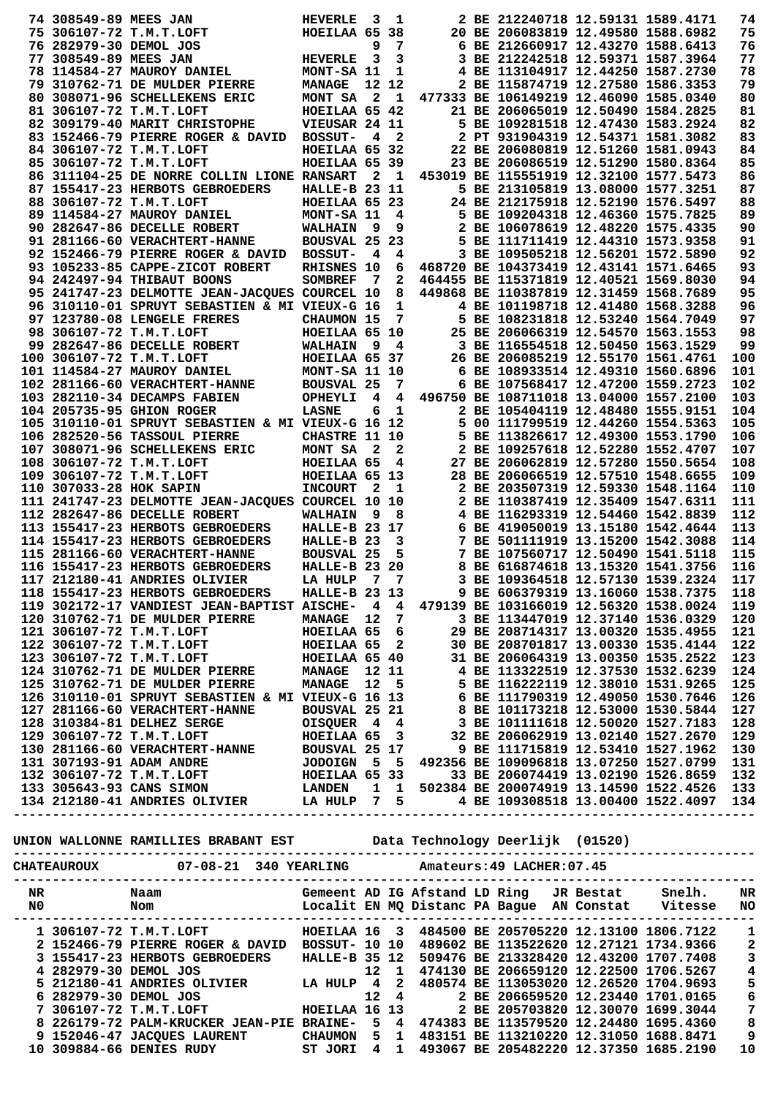| 74 308549-89 MEES JAN   |                                                                                        | HEVERLE              | - 3            | 1            |  | 2 BE 212240718 12.59131 1589.4171                                        |  | 74  |
|-------------------------|----------------------------------------------------------------------------------------|----------------------|----------------|--------------|--|--------------------------------------------------------------------------|--|-----|
|                         | 75 306107-72 T.M.T.LOFT                                                                | HOEILAA 65 38        |                |              |  | 20 BE 206083819 12.49580 1588.6982                                       |  | 75  |
| 76 282979-30 DEMOL JOS  |                                                                                        |                      | 9              | 7            |  | 6 BE 212660917 12.43270 1588.6413                                        |  | 76  |
| 77 308549-89 MEES JAN   |                                                                                        | <b>HEVERLE</b>       | 3              | 3            |  | 3 BE 212242518 12.59371 1587.3964                                        |  | 77  |
|                         | 78 114584-27 MAUROY DANIEL                                                             | MONT-SA 11           |                | 1            |  | 4 BE 113104917 12.44250 1587.2730                                        |  | 78  |
|                         | 79 310762-71 DE MULDER PIERRE                                                          | <b>MANAGE</b>        | 12 12          |              |  | 2 BE 115874719 12.27580 1586.3353                                        |  | 79  |
|                         | 80 308071-96 SCHELLEKENS ERIC                                                          | MONT SA              | $\mathbf{2}$   | - 1          |  | 477333 BE 106149219 12.46090 1585.0340                                   |  | 80  |
|                         | 81 306107-72 T.M.T.LOFT                                                                | HOEILAA 65 42        |                |              |  | 21 BE 206065019 12.50490 1584.2825                                       |  | 81  |
|                         | 82 309179-40 MARIT CHRISTOPHE                                                          | VIEUSAR 24 11        |                |              |  | 5 BE 109281518 12.47430 1583.2924                                        |  | 82  |
|                         | 83 152466-79 PIERRE ROGER & DAVID                                                      | <b>BOSSUT-</b>       | 4              | $\mathbf{2}$ |  | 2 PT 931904319 12.54371 1581.3082                                        |  | 83  |
|                         |                                                                                        |                      |                |              |  |                                                                          |  | 84  |
|                         | 84 306107-72 T.M.T.LOFT                                                                | HOEILAA 65 32        |                |              |  | 22 BE 206080819 12.51260 1581.0943<br>23 BE 206086519 12.51290 1580.8364 |  |     |
|                         | 85 306107-72 T.M.T.LOFT                                                                | HOEILAA 65 39        |                |              |  |                                                                          |  | 85  |
|                         | 86 311104-25 DE NORRE COLLIN LIONE RANSART                                             |                      | $\mathbf{2}$   | - 1          |  | 453019 BE 115551919 12.32100 1577.5473                                   |  | 86  |
|                         | 87 155417-23 HERBOTS GEBROEDERS                                                        | HALLE-B 23 11        |                |              |  | 5 BE 213105819 13.08000 1577.3251                                        |  | 87  |
|                         | 88 306107-72 T.M.T.LOFT                                                                | HOEILAA 65 23        |                |              |  | 24 BE 212175918 12.52190 1576.5497                                       |  | 88  |
|                         | 89 114584-27 MAUROY DANIEL                                                             | MONT-SA 11           |                | 4            |  | 5 BE 109204318 12.46360 1575.7825                                        |  | 89  |
|                         | 90 282647-86 DECELLE ROBERT                                                            | <b>WALHAIN</b>       | 9              | 9            |  | 2 BE 106078619 12.48220 1575.4335                                        |  | 90  |
|                         | 91 281166-60 VERACHTERT-HANNE                                                          | BOUSVAL 25           |                | 23           |  | 5 BE 111711419 12.44310 1573.9358                                        |  | 91  |
|                         | 92 152466-79 PIERRE ROGER & DAVID                                                      | <b>BOSSUT-</b>       | 4              | 4            |  | 3 BE 109505218 12.56201 1572.5890                                        |  | 92  |
|                         | 93 105233-85 CAPPE-ZICOT ROBERT                                                        | <b>RHISNES 10</b>    |                | 6            |  | 468720 BE 104373419 12.43141 1571.6465                                   |  | 93  |
|                         | 94 242497-94 THIBAUT BOONS                                                             | <b>SOMBREF</b>       | 7              | 2            |  | 464455 BE 115371819 12.40521 1569.8030                                   |  | 94  |
|                         | 95 241747-23 DELMOTTE JEAN-JACQUES COURCEL 10                                          |                      |                | 8            |  | 449868 BE 110387819 12.31459 1568.7689                                   |  | 95  |
|                         | 96 310110-01 SPRUYT SEBASTIEN & MI VIEUX-G 16                                          |                      |                | 1            |  | 4 BE 101198718 12.41480 1568.3288                                        |  | 96  |
|                         | 97 123780-08 LENGELE FRERES                                                            | <b>CHAUMON 15</b>    |                | 7            |  | 5 BE 108231818 12.53240 1564.7049                                        |  | 97  |
|                         |                                                                                        |                      |                |              |  | 25 BE 206066319 12.54570 1563.1553                                       |  | 98  |
|                         | 98 306107-72 T.M.T.LOFT                                                                | HOEILAA 65 10        |                |              |  |                                                                          |  |     |
|                         | 99 282647-86 DECELLE ROBERT                                                            | <b>WALHAIN</b>       | 9              | 4            |  | 3 BE 116554518 12.50450 1563.1529                                        |  | 99  |
|                         | 100 306107-72 T.M.T.LOFT                                                               | HOEILAA 65 37        |                |              |  | 26 BE 206085219 12.55170 1561.4761                                       |  | 100 |
|                         | 101 114584-27 MAUROY DANIEL                                                            | MONT-SA 11 10        |                |              |  | 6 BE 108933514 12.49310 1560.6896                                        |  | 101 |
|                         | 102 281166-60 VERACHTERT-HANNE                                                         | <b>BOUSVAL 25</b>    |                | 7            |  | 6 BE 107568417 12.47200 1559.2723                                        |  | 102 |
|                         | 103 282110-34 DECAMPS FABIEN                                                           | OPHEYLI              | 4              | 4            |  | 496750 BE 108711018 13.04000 1557.2100                                   |  | 103 |
|                         | 104 205735-95 GHION ROGER                                                              | <b>LASNE</b>         | 6              | 1            |  | 2 BE 105404119 12.48480 1555.9151                                        |  | 104 |
|                         | 105 310110-01 SPRUYT SEBASTIEN & MI VIEUX-G 16                                         |                      |                | -12          |  | 5 00 111799519 12.44260 1554.5363                                        |  | 105 |
|                         | 106 282520-56 TASSOUL PIERRE                                                           | CHASTRE 11 10        |                |              |  | 5 BE 113826617 12.49300 1553.1790                                        |  | 106 |
|                         | 107 308071-96 SCHELLEKENS ERIC                                                         | MONT SA              | $\mathbf{2}$   | 2            |  | 2 BE 109257618 12.52280 1552.4707                                        |  | 107 |
|                         | 108 306107-72 T.M.T.LOFT                                                               | HOEILAA 65           |                | 4            |  | 27 BE 206062819 12.57280 1550.5654                                       |  | 108 |
|                         | 109 306107-72 T.M.T.LOFT                                                               | HOEILAA 65 13        |                |              |  | 28 BE 206066519 12.57510 1548.6655                                       |  | 109 |
|                         |                                                                                        |                      |                |              |  |                                                                          |  |     |
| 110 307033-28 HOK SAPIN |                                                                                        | <b>INCOURT</b>       | 2              | 1            |  | 2 BE 203507319 12.59330 1548.1164                                        |  | 110 |
|                         | 111 241747-23 DELMOTTE JEAN-JACQUES COURCEL 10 10                                      |                      |                |              |  | 2 BE 110387419 12.35409 1547.6311                                        |  | 111 |
|                         | 112 282647-86 DECELLE ROBERT                                                           | <b>WALHAIN</b>       | 9              | 8            |  | 4 BE 116293319 12.54460 1542.8839                                        |  | 112 |
|                         | 113 155417-23 HERBOTS GEBROEDERS                                                       | HALLE-B 23 17        |                |              |  | 6 BE 419050019 13.15180 1542.4644                                        |  | 113 |
|                         | 114 155417-23 HERBOTS GEBROEDERS                                                       | HALLE-B 23           |                | 3            |  | 7 BE 501111919 13.15200 1542.3088                                        |  | 114 |
|                         | 115 281166-60 VERACHTERT-HANNE                                                         | <b>BOUSVAL 25</b>    |                | 5            |  | 7 BE 107560717 12.50490 1541.5118                                        |  | 115 |
|                         | 116 155417-23 HERBOTS GEBROEDERS                                                       | <b>HALLE-B 23 20</b> |                |              |  | 8 BE 616874618 13.15320 1541.3756                                        |  | 116 |
|                         | 117 212180-41 ANDRIES OLIVIER                                                          | LA HULP              | $\overline{7}$ | 7            |  | 3 BE 109364518 12.57130 1539.2324                                        |  | 117 |
|                         | 118 155417-23 HERBOTS GEBROEDERS HALLE-B 23 13                                         |                      |                |              |  | 9 BE 606379319 13.16060 1538.7375                                        |  | 118 |
|                         | 119 302172-17 VANDIEST JEAN-BAPTIST AISCHE- 4 4 479139 BE 103166019 12.56320 1538.0024 |                      |                |              |  |                                                                          |  | 119 |
|                         | 120 310762-71 DE MULDER PIERRE MANAGE 12 7                                             |                      |                |              |  | 3 BE 113447019 12.37140 1536.0329                                        |  | 120 |
|                         |                                                                                        |                      |                |              |  |                                                                          |  |     |
|                         |                                                                                        |                      |                |              |  |                                                                          |  |     |
|                         |                                                                                        |                      |                |              |  |                                                                          |  |     |
|                         |                                                                                        |                      |                |              |  |                                                                          |  |     |
|                         |                                                                                        |                      |                |              |  |                                                                          |  |     |
|                         |                                                                                        |                      |                |              |  |                                                                          |  |     |
|                         |                                                                                        |                      |                |              |  |                                                                          |  |     |
|                         |                                                                                        |                      |                |              |  |                                                                          |  |     |
|                         |                                                                                        |                      |                |              |  |                                                                          |  |     |
|                         |                                                                                        |                      |                |              |  |                                                                          |  |     |
|                         |                                                                                        |                      |                |              |  |                                                                          |  |     |
|                         |                                                                                        |                      |                |              |  |                                                                          |  |     |
|                         |                                                                                        |                      |                |              |  |                                                                          |  |     |
|                         |                                                                                        |                      |                |              |  |                                                                          |  |     |
|                         |                                                                                        |                      |                |              |  |                                                                          |  |     |
|                         |                                                                                        |                      |                |              |  |                                                                          |  |     |
|                         |                                                                                        |                      |                |              |  |                                                                          |  |     |
|                         |                                                                                        |                      |                |              |  |                                                                          |  |     |
|                         |                                                                                        |                      |                |              |  |                                                                          |  |     |
|                         |                                                                                        |                      |                |              |  |                                                                          |  |     |
|                         |                                                                                        |                      |                |              |  |                                                                          |  |     |
|                         |                                                                                        |                      |                |              |  |                                                                          |  |     |
|                         |                                                                                        |                      |                |              |  |                                                                          |  |     |
|                         |                                                                                        |                      |                |              |  |                                                                          |  |     |
|                         | 1 306107-72 T.M.T.LOFT THOEILAA 16 3 484500 BE 205705220 12.13100 1806.7122 1          |                      |                |              |  |                                                                          |  |     |
|                         |                                                                                        |                      |                |              |  |                                                                          |  |     |

| NU. | NOIIL                            |                      |     |              |  |                                                 | LOCALIT EN MOU LISTANC PA BAGUE AN CONSTAT VITESSE | NU. |
|-----|----------------------------------|----------------------|-----|--------------|--|-------------------------------------------------|----------------------------------------------------|-----|
|     | 1 306107-72 T.M.T.LOFT           | HOEILAA 16 3         |     |              |  |                                                 | 484500 BE 205705220 12.13100 1806.7122             |     |
|     | 2 152466-79 PIERRE ROGER & DAVID | <b>BOSSUT- 10 10</b> |     |              |  |                                                 | 489602 BE 113522620 12.27121 1734.9366             | 2   |
|     | 3 155417-23 HERBOTS GEBROEDERS   | <b>HALLE-B 35 12</b> |     |              |  | 509476 BE 213328420 12.43200 1707.7408          |                                                    |     |
|     | 4 282979-30 DEMOL JOS            |                      | 12. | $\mathbf{1}$ |  | 474130 BE 206659120 12.22500 1706.5267          |                                                    | 4   |
|     | 5 212180-41 ANDRIES OLIVIER      | LA HULP 4            |     | -2           |  |                                                 | 480574 BE 113053020 12.26520 1704.9693             | -5  |
|     | 6 282979-30 DEMOL JOS            |                      |     |              |  | 12 4 2 BE 206659520 12.23440 1701.0165          |                                                    | 6   |
|     | 7 306107-72 T.M.T.LOFT           |                      |     |              |  | HOEILAA 16 13 2 BE 205703820 12.30070 1699.3044 |                                                    | 7   |
|     |                                  |                      |     | 5 4          |  | 474383 BE 113579520 12.24480 1695.4360          |                                                    | 8   |
|     | 9 152046-47 JACQUES LAURENT      | CHAUMON              | 5.  | $\mathbf{1}$ |  | 483151 BE 113210220 12.31050 1688.8471          |                                                    |     |
|     | 10 309884-66 DENIES RUDY         | ST JORI 4 1          |     |              |  | 493067 BE 205482220 12.37350 1685.2190          |                                                    | 10  |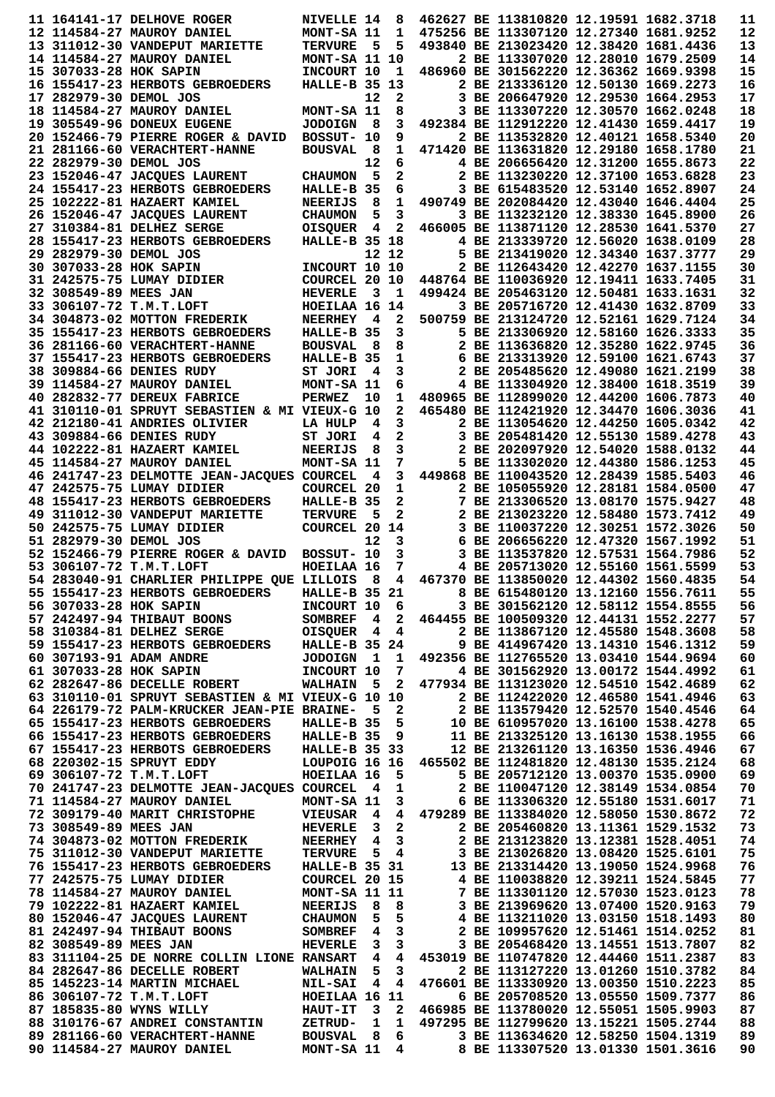| 11 164141-17 DELHOVE ROGER                                                                                                                                                                                                              | NIVELLE 14                   |                         | 8              |                                                                                                                                                                      | 462627 BE 113810820 12.19591 1682.3718                                 |  | 11       |
|-----------------------------------------------------------------------------------------------------------------------------------------------------------------------------------------------------------------------------------------|------------------------------|-------------------------|----------------|----------------------------------------------------------------------------------------------------------------------------------------------------------------------|------------------------------------------------------------------------|--|----------|
| 12 114584-27 MAUROY DANIEL                                                                                                                                                                                                              | MONT-SA 11                   |                         | $\mathbf{1}$   | 475256 BE 113307120 12.27340 1681.9252                                                                                                                               |                                                                        |  | 12       |
| 13 311012-30 VANDEPUT MARIETTE                                                                                                                                                                                                          | <b>TERVURE</b>               | 5                       | 5              |                                                                                                                                                                      | 493840 BE 213023420 12.38420 1681.4436                                 |  | 13       |
| 14 114584-27 MAUROY DANIEL                                                                                                                                                                                                              | MONT-SA 11 10                |                         |                |                                                                                                                                                                      | 2 BE 113307020 12.28010 1679.2509                                      |  | 14       |
| 15 307033-28 HOK SAPIN                                                                                                                                                                                                                  | INCOURT 10                   |                         | $\mathbf{1}$   | 486960 BE 301562220 12.36362 1669.9398                                                                                                                               |                                                                        |  | 15       |
| 16 155417-23 HERBOTS GEBROEDERS                                                                                                                                                                                                         | HALLE-B 35 13                |                         |                |                                                                                                                                                                      | 2 BE 213336120 12.50130 1669.2273                                      |  | 16       |
| 17 282979-30 DEMOL JOS                                                                                                                                                                                                                  |                              | 12                      | $\mathbf{2}$   |                                                                                                                                                                      | 3 BE 206647920 12.29530 1664.2953                                      |  | 17       |
| 18 114584-27 MAUROY DANIEL                                                                                                                                                                                                              | MONT-SA 11                   |                         | 8              |                                                                                                                                                                      | 3 BE 113307220 12.30570 1662.0248                                      |  | 18       |
| 19 305549-96 DONEUX EUGENE                                                                                                                                                                                                              | <b>JODOIGN</b>               | - 8                     | 3              |                                                                                                                                                                      | 492384 BE 112912220 12.41430 1659.4417                                 |  | 19       |
| 20 152466-79 PIERRE ROGER & DAVID                                                                                                                                                                                                       | BOSSUT- 10                   |                         | 9              |                                                                                                                                                                      | 2 BE 113532820 12.40121 1658.5340                                      |  | 20       |
| 21 281166-60 VERACHTERT-HANNE                                                                                                                                                                                                           | <b>BOUSVAL</b>               | - 8                     | 1              |                                                                                                                                                                      | 471420 BE 113631820 12.29180 1658.1780                                 |  | 21       |
| 22 282979-30 DEMOL JOS                                                                                                                                                                                                                  |                              | 12                      | 6              |                                                                                                                                                                      | 4 BE 206656420 12.31200 1655.8673                                      |  | 22       |
| 23 152046-47 JACQUES LAURENT                                                                                                                                                                                                            | <b>CHAUMON</b>               | 5                       | $\mathbf{2}$   |                                                                                                                                                                      | 2 BE 113230220 12.37100 1653.6828                                      |  | 23       |
| 24 155417-23 HERBOTS GEBROEDERS                                                                                                                                                                                                         | HALLE-B 35                   |                         | 6              |                                                                                                                                                                      | 3 BE 615483520 12.53140 1652.8907                                      |  | 24       |
| 25 102222-81 HAZAERT KAMIEL                                                                                                                                                                                                             | <b>NEERIJS</b>               | 8                       | 1              |                                                                                                                                                                      | 490749 BE 202084420 12.43040 1646.4404                                 |  | 25       |
| 26 152046-47 JACQUES LAURENT                                                                                                                                                                                                            | <b>CHAUMON</b>               | 5                       | 3              |                                                                                                                                                                      | 3 BE 113232120 12.38330 1645.8900                                      |  | 26       |
| 27 310384-81 DELHEZ SERGE                                                                                                                                                                                                               | <b>OISQUER</b>               | - 4                     | 2              | 466005 BE 113871120 12.28530 1641.5370                                                                                                                               |                                                                        |  | 27       |
| 28 155417-23 HERBOTS GEBROEDERS                                                                                                                                                                                                         | HALLE-B 35 18                |                         |                |                                                                                                                                                                      | 4 BE 213339720 12.56020 1638.0109                                      |  | 28       |
| 29 282979-30 DEMOL JOS                                                                                                                                                                                                                  |                              |                         | 12 12          |                                                                                                                                                                      | 5 BE 213419020 12.34340 1637.3777                                      |  | 29       |
| 30 307033-28 HOK SAPIN                                                                                                                                                                                                                  | INCOURT 10 10                |                         |                |                                                                                                                                                                      | 2 BE 112643420 12.42270 1637.1155                                      |  | 30       |
| 31 242575-75 LUMAY DIDIER                                                                                                                                                                                                               | COURCEL 20 10                |                         |                | 448764 BE 110036920 12.19411 1633.7405                                                                                                                               |                                                                        |  | 31       |
| 32 308549-89 MEES JAN                                                                                                                                                                                                                   | <b>HEVERLE</b>               | - 3                     | - 1            | 499424 BE 205463120 12.50481 1633.1631                                                                                                                               |                                                                        |  | 32       |
| 33 306107-72 T.M.T.LOFT                                                                                                                                                                                                                 | HOEILAA 16 14                |                         |                |                                                                                                                                                                      | 3 BE 205716720 12.41430 1632.8709                                      |  | 33       |
| 34 304873-02 MOTTON FREDERIK                                                                                                                                                                                                            | <b>NEERHEY</b>               | 4                       | $\mathbf{2}$   |                                                                                                                                                                      | 500759 BE 213124720 12.52161 1629.7124                                 |  | 34       |
| 35 155417-23 HERBOTS GEBROEDERS                                                                                                                                                                                                         | HALLE-B 35                   |                         | 3              |                                                                                                                                                                      | 5 BE 213306920 12.58160 1626.3333                                      |  | 35       |
| 36 281166-60 VERACHTERT-HANNE                                                                                                                                                                                                           | <b>BOUSVAL</b>               | - 8                     | 8              |                                                                                                                                                                      | 2 BE 113636820 12.35280 1622.9745                                      |  | 36       |
| 37 155417-23 HERBOTS GEBROEDERS                                                                                                                                                                                                         | HALLE-B 35                   |                         | 1              |                                                                                                                                                                      | 6 BE 213313920 12.59100 1621.6743                                      |  | 37       |
| 38 309884-66 DENIES RUDY                                                                                                                                                                                                                | ST JORI                      | 4                       | 3              |                                                                                                                                                                      | 2 BE 205485620 12.49080 1621.2199                                      |  | 38       |
| 39 114584-27 MAUROY DANIEL                                                                                                                                                                                                              | MONT-SA 11                   |                         | 6              |                                                                                                                                                                      | 4 BE 113304920 12.38400 1618.3519                                      |  | 39       |
| 40 282832-77 DEREUX FABRICE                                                                                                                                                                                                             | <b>PERWEZ</b>                | 10                      | 1              | 480965 BE 112899020 12.44200 1606.7873                                                                                                                               |                                                                        |  | 40       |
| 41 310110-01 SPRUYT SEBASTIEN & MI VIEUX-G 10                                                                                                                                                                                           |                              |                         | $\mathbf{2}$   |                                                                                                                                                                      | 465480 BE 112421920 12.34470 1606.3036                                 |  | 41       |
| 42 212180-41 ANDRIES OLIVIER                                                                                                                                                                                                            | LA HULP                      | $\overline{\mathbf{4}}$ | 3              |                                                                                                                                                                      | 2 BE 113054620 12.44250 1605.0342                                      |  | 42       |
| 43 309884-66 DENIES RUDY                                                                                                                                                                                                                | ST JORI                      | 4                       | 2              |                                                                                                                                                                      | 3 BE 205481420 12.55130 1589.4278                                      |  | 43       |
| 44 102222-81 HAZAERT KAMIEL                                                                                                                                                                                                             | <b>NEERIJS</b>               | 8                       | 3              |                                                                                                                                                                      | 2 BE 202097920 12.54020 1588.0132                                      |  | 44       |
| 45 114584-27 MAUROY DANIEL                                                                                                                                                                                                              | MONT-SA 11                   |                         | 7              |                                                                                                                                                                      | 5 BE 113302020 12.44380 1586.1253                                      |  | 45       |
| 46 241747-23 DELMOTTE JEAN-JACQUES COURCEL                                                                                                                                                                                              |                              | $\overline{\mathbf{4}}$ | 3              |                                                                                                                                                                      | 449868 BE 110043520 12.28439 1585.5403                                 |  | 46       |
| 47 242575-75 LUMAY DIDIER                                                                                                                                                                                                               | <b>COURCEL 20</b>            |                         | 1              |                                                                                                                                                                      | 2 BE 105055920 12.28181 1584.0500                                      |  | 47       |
| 48 155417-23 HERBOTS GEBROEDERS                                                                                                                                                                                                         | HALLE-B 35                   |                         | 2              |                                                                                                                                                                      | 7 BE 213306520 13.08170 1575.9427                                      |  | 48       |
|                                                                                                                                                                                                                                         |                              | 5                       | 2              |                                                                                                                                                                      | 2 BE 213023220 12.58480 1573.7412                                      |  |          |
| 49 311012-30 VANDEPUT MARIETTE                                                                                                                                                                                                          | <b>TERVURE</b>               |                         |                |                                                                                                                                                                      |                                                                        |  |          |
|                                                                                                                                                                                                                                         |                              |                         |                |                                                                                                                                                                      |                                                                        |  | 49       |
| 50 242575-75 LUMAY DIDIER                                                                                                                                                                                                               | COURCEL 20 14                |                         |                |                                                                                                                                                                      | 3 BE 110037220 12.30251 1572.3026                                      |  | 50       |
| 51 282979-30 DEMOL JOS                                                                                                                                                                                                                  |                              | 12                      | $\mathbf{3}$   |                                                                                                                                                                      | 6 BE 206656220 12.47320 1567.1992                                      |  | 51       |
| 52 152466-79 PIERRE ROGER & DAVID                                                                                                                                                                                                       | BOSSUT- 10                   |                         | 3              |                                                                                                                                                                      | 3 BE 113537820 12.57531 1564.7986                                      |  | 52       |
| 53 306107-72 T.M.T.LOFT                                                                                                                                                                                                                 | HOEILAA 16                   |                         | 7              |                                                                                                                                                                      | 4 BE 205713020 12.55160 1561.5599                                      |  | 53       |
| 54 283040-91 CHARLIER PHILIPPE QUE LILLOIS                                                                                                                                                                                              |                              | - 8                     | 4              |                                                                                                                                                                      | 467370 BE 113850020 12.44302 1560.4835                                 |  | 54       |
| 55 155417-23 HERBOTS GEBROEDERS                                                                                                                                                                                                         | HALLE-B 35 21                |                         |                |                                                                                                                                                                      | 8 BE 615480120 13.12160 1556.7611                                      |  | 55       |
| 56 307033-28 HOK SAPIN                                                                                                                                                                                                                  | INCOURT 10 6                 |                         |                |                                                                                                                                                                      | 3 BE 301562120 12.58112 1554.8555                                      |  | 56       |
| 57 242497-94 THIBAUT BOONS                                                                                                                                                                                                              |                              |                         |                | INCOURT 10 6 3 BE 301562120 12.58112 1554.8555<br>SOMBREF 4 2 464455 BE 100509320 12.44131 1552.2277                                                                 |                                                                        |  | 57       |
| 58 310384-81 DELHEZ SERGE OISQUER 4 4                                                                                                                                                                                                   |                              |                         |                |                                                                                                                                                                      | 2 BE 113867120 12.45580 1548.3608                                      |  | 58       |
| 59 155417-23 HERBOTS GEBROEDERS HALLE-B 35 24                                                                                                                                                                                           |                              |                         |                |                                                                                                                                                                      | 9 BE 414967420 13.14310 1546.1312                                      |  | 59       |
| 60 307193-91 ADAM ANDRE                                                                                                                                                                                                                 |                              |                         |                |                                                                                                                                                                      |                                                                        |  | 60       |
| JODOIGN 1 1 492356 BE 112765520 13.03410 1544.9694<br>INCOURT 10 7 4 BE 301562920 13.00172 1544.4992<br>61 307033-28 HOK SAPIN                                                                                                          |                              |                         |                |                                                                                                                                                                      |                                                                        |  | 61       |
| 62 282647-86 DECELLE ROBERT WALHAIN 5 2 477934 BE 113123020 12.54510 1542.4689                                                                                                                                                          |                              |                         |                |                                                                                                                                                                      |                                                                        |  | 62       |
| 63 310110-01 SPRUYT SEBASTIEN & MI VIEUX-G 10 10                                                                                                                                                                                        |                              |                         |                |                                                                                                                                                                      | 2 BE 112422020 12.46580 1541.4946                                      |  | 63       |
| 64 226179-72 PALM-KRUCKER JEAN-PIE BRAINE- 5 2                                                                                                                                                                                          |                              |                         |                | 2 BE 113579420 12.52570 1540.4546                                                                                                                                    |                                                                        |  | 64       |
| 65 155417-23 HERBOTS GEBROEDERS                                                                                                                                                                                                         |                              |                         |                |                                                                                                                                                                      |                                                                        |  | 65       |
| 66 155417-23 HERBOTS GEBROEDERS                                                                                                                                                                                                         | HALLE-B 35 9                 |                         |                | - -------<br>HALLE-B 35 5 10 BE 610957020 13.16100 1538.4278<br>HALLE-B 35 9 11 BE 213325120 13.16130 1538.1955                                                      |                                                                        |  | 66       |
| 67 155417-23 HERBOTS GEBROEDERS                                                                                                                                                                                                         | <b>HALLE-B 35 33</b>         |                         |                |                                                                                                                                                                      | 12 BE 213261120 13.16350 1536.4946                                     |  | 67       |
| 68 220302-15 SPRUYT EDDY                                                                                                                                                                                                                |                              |                         |                | LOUPOIG 16 16 465502 BE 112481820 12.48130 1535.2124                                                                                                                 |                                                                        |  | 68       |
| 69 306107-72 T.M.T.LOFT                                                                                                                                                                                                                 | <b>HOEILAA 16 5</b>          |                         |                |                                                                                                                                                                      | 5 BE 205712120 13.00370 1535.0900                                      |  | 69       |
| 70 241747-23 DELMOTTE JEAN-JACQUES COURCEL                                                                                                                                                                                              |                              |                         | 41             |                                                                                                                                                                      | 2 BE 110047120 12.38149 1534.0854                                      |  | 70       |
|                                                                                                                                                                                                                                         |                              |                         |                |                                                                                                                                                                      |                                                                        |  | 71       |
|                                                                                                                                                                                                                                         |                              |                         |                |                                                                                                                                                                      |                                                                        |  | 72       |
| 71 114584-27 MAUROY DANIEL MONT-SA 11 3 6 BE 113306320 12.55180 1531.6017<br>72 309179-40 MARIT CHRISTOPHE VIEUSAR 4 4 479289 BE 113384020 12.58050 1530.8672<br>73 308549-89 MEES JAN HEVERLE 3 2 2 BE 205460820 13.11361 1529.1532    |                              |                         |                |                                                                                                                                                                      |                                                                        |  | 73       |
|                                                                                                                                                                                                                                         |                              |                         |                |                                                                                                                                                                      |                                                                        |  | 74       |
|                                                                                                                                                                                                                                         |                              |                         |                |                                                                                                                                                                      |                                                                        |  | 75       |
| <b>74 304873-02 MOTTON FREDERIK MEERHEY 4 3 2 BE 213123820 13.12381 1528.4051</b><br>75 311012-30 VANDEPUT MARIETTE TERVURE 5 4 3 BE 213026820 13.08420 1525.6101<br>76 155417-23 HERBOTS GEBROEDERS HALLE-B 35 31 13 BE 213314420 13.1 |                              |                         |                |                                                                                                                                                                      |                                                                        |  | 76       |
| 77 242575-75 LUMAY DIDIER                                                                                                                                                                                                               | <b>COURCEL 20 15</b>         |                         |                |                                                                                                                                                                      |                                                                        |  | 77       |
| 78 114584-27 MAUROY DANIEL                                                                                                                                                                                                              | <b>MONT-SA 11 11</b>         |                         |                |                                                                                                                                                                      |                                                                        |  | 78       |
| 79 102222-81 HAZAERT KAMIEL                                                                                                                                                                                                             | <b>NEERIJS</b>               |                         |                |                                                                                                                                                                      |                                                                        |  | 79       |
| 80 152046-47 JACQUES LAURENT                                                                                                                                                                                                            |                              |                         |                |                                                                                                                                                                      |                                                                        |  | 80       |
| 81 242497-94 THIBAUT BOONS                                                                                                                                                                                                              |                              |                         | $3^{\circ}$    | 20 15 4 BE 110038820 12.39211 1524.5845<br>11 11 7 BE 113301120 12.57030 1523.0123<br>8 8 3 BE 213969620 13.07400 1520.9163<br>5 5 4 BE 113211020 13.03150 1518.1493 | 2 BE 109957620 12.51461 1514.0252                                      |  | 81       |
| 82 308549-89 MEES JAN                                                                                                                                                                                                                   |                              |                         | $3 \quad 3$    |                                                                                                                                                                      | 3 BE 205468420 13.14551 1513.7807                                      |  | 82       |
| 83 311104-25 DE NORRE COLLIN LIONE RANSART 4                                                                                                                                                                                            |                              |                         |                | 4 453019 BE 110747820 12.44460 1511.2387                                                                                                                             |                                                                        |  | 83       |
| 84 282647-86 DECELLE ROBERT                                                                                                                                                                                                             | <b>WALHAIN</b> 5             |                         | $\mathbf{3}$   |                                                                                                                                                                      | 2 BE 113127220 13.01260 1510.3782                                      |  | 84       |
| 85 145223-14 MARTIN MICHAEL                                                                                                                                                                                                             | NIL-SAI                      | 4                       | $\overline{4}$ |                                                                                                                                                                      | 476601 BE 113330920 13.00350 1510.2223                                 |  | 85       |
| 86 306107-72 T.M.T.LOFT                                                                                                                                                                                                                 |                              |                         |                |                                                                                                                                                                      | 6 BE 205708520 13.05550 1509.7377                                      |  | 86       |
| 87 185835-80 WYNS WILLY                                                                                                                                                                                                                 | HOEILAA 16 11<br>HAUT-IT 3 2 |                         | $3\quad 2$     | 466985 BE 113780020 12.55051 1505.9903                                                                                                                               |                                                                        |  | 87       |
| 88 310176-67 ANDREI CONSTANTIN ZETRUD- 1 1 497295 BE 112799620 13.15221 1505.2744                                                                                                                                                       |                              |                         |                |                                                                                                                                                                      |                                                                        |  | 88       |
| 89 281166-60 VERACHTERT-HANNE BOUSVAL 8<br>90 114584-27 MAUROY DANIEL                                                                                                                                                                   | $MONT-SA$ 11 4               |                         |                | $6\overline{)}$                                                                                                                                                      | 3 BE 113634620 12.58250 1504.1319<br>8 BE 113307520 13.01330 1501.3616 |  | 89<br>90 |